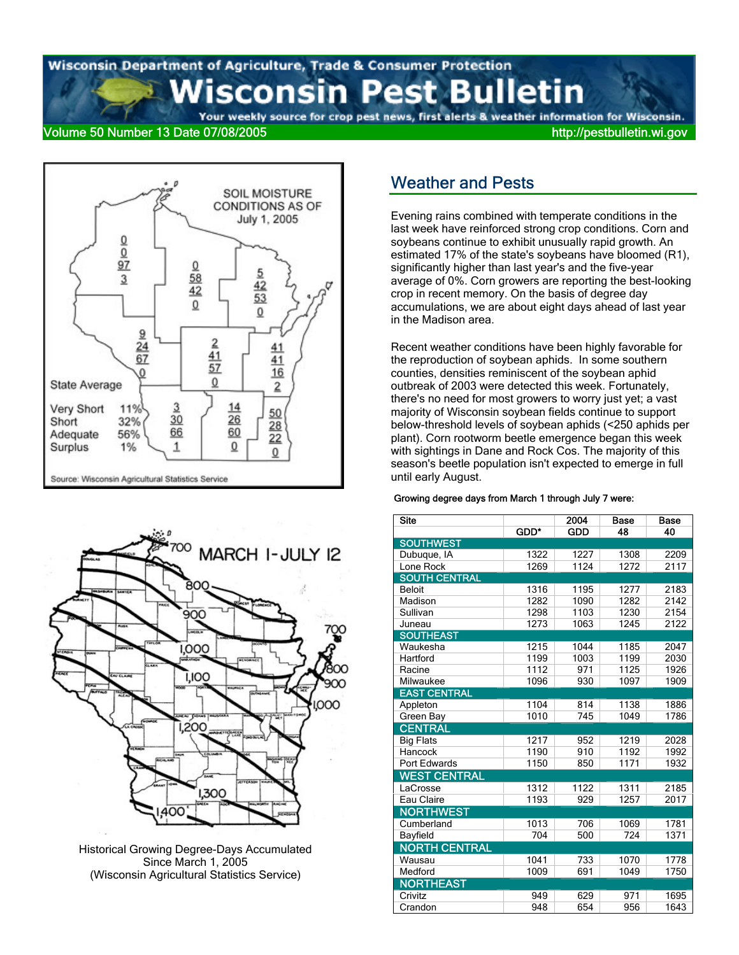#### est Bulletin sconsin Р

Your weekly source for crop pest news, first alerts & weather information for Wisconsin. Volume 50 Number 13 Date 07/08/2005 http://pestbulletin.wi.gov





Historical Growing Degree-Days Accumulated Since March 1, 2005 (Wisconsin Agricultural Statistics Service)

### Weather and Pests

Evening rains combined with temperate conditions in the last week have reinforced strong crop conditions. Corn and soybeans continue to exhibit unusually rapid growth. An estimated 17% of the state's soybeans have bloomed (R1), significantly higher than last year's and the five-year average of 0%. Corn growers are reporting the best-looking crop in recent memory. On the basis of degree day accumulations, we are about eight days ahead of last year in the Madison area.

Recent weather conditions have been highly favorable for the reproduction of soybean aphids. In some southern counties, densities reminiscent of the soybean aphid outbreak of 2003 were detected this week. Fortunately, there's no need for most growers to worry just yet; a vast majority of Wisconsin soybean fields continue to support below-threshold levels of soybean aphids (<250 aphids per plant). Corn rootworm beetle emergence began this week with sightings in Dane and Rock Cos. The majority of this season's beetle population isn't expected to emerge in full until early August.

#### Growing degree days from March 1 through July 7 were:

| <b>Site</b>          |      | 2004       | <b>Base</b> | Base |  |
|----------------------|------|------------|-------------|------|--|
|                      | GDD* | <b>GDD</b> | 48          | 40   |  |
| <b>SOUTHWEST</b>     |      |            |             |      |  |
| Dubuque, IA          | 1322 | 1227       | 1308        | 2209 |  |
| Lone Rock            | 1269 | 1124       | 1272        | 2117 |  |
| <b>SOUTH CENTRAL</b> |      |            |             |      |  |
| <b>Beloit</b>        | 1316 | 1195       | 1277        | 2183 |  |
| Madison              | 1282 | 1090       | 1282        | 2142 |  |
| Sullivan             | 1298 | 1103       | 1230        | 2154 |  |
| Juneau               | 1273 | 1063       | 1245        | 2122 |  |
| <b>SOUTHEAST</b>     |      |            |             |      |  |
| Waukesha             | 1215 | 1044       | 1185        | 2047 |  |
| Hartford             | 1199 | 1003       | 1199        | 2030 |  |
| Racine               | 1112 | 971        | 1125        | 1926 |  |
| Milwaukee            | 1096 | 930        | 1097        | 1909 |  |
| <b>EAST CENTRAL</b>  |      |            |             |      |  |
| Appleton             | 1104 | 814        | 1138        | 1886 |  |
| Green Bay            | 1010 | 745        | 1049        | 1786 |  |
| <b>CENTRAL</b>       |      |            |             |      |  |
| <b>Big Flats</b>     | 1217 | 952        | 1219        | 2028 |  |
| Hancock              | 1190 | 910        | 1192        | 1992 |  |
| Port Edwards         | 1150 | 850        | 1171        | 1932 |  |
| <b>WEST CENTRAL</b>  |      |            |             |      |  |
| LaCrosse             | 1312 | 1122       | 1311        | 2185 |  |
| Eau Claire           | 1193 | 929        | 1257        | 2017 |  |
| <b>NORTHWEST</b>     |      |            |             |      |  |
| Cumberland           | 1013 | 706        | 1069        | 1781 |  |
| Bayfield             | 704  | 500        | 724         | 1371 |  |
| <b>NORTH CENTRAL</b> |      |            |             |      |  |
| Wausau               | 1041 | 733        | 1070        | 1778 |  |
| Medford              | 1009 | 691        | 1049        | 1750 |  |
| <b>NORTHEAST</b>     |      |            |             |      |  |
| Crivitz              | 949  | 629        | 971         | 1695 |  |
| Crandon              | 948  | 654        | 956         | 1643 |  |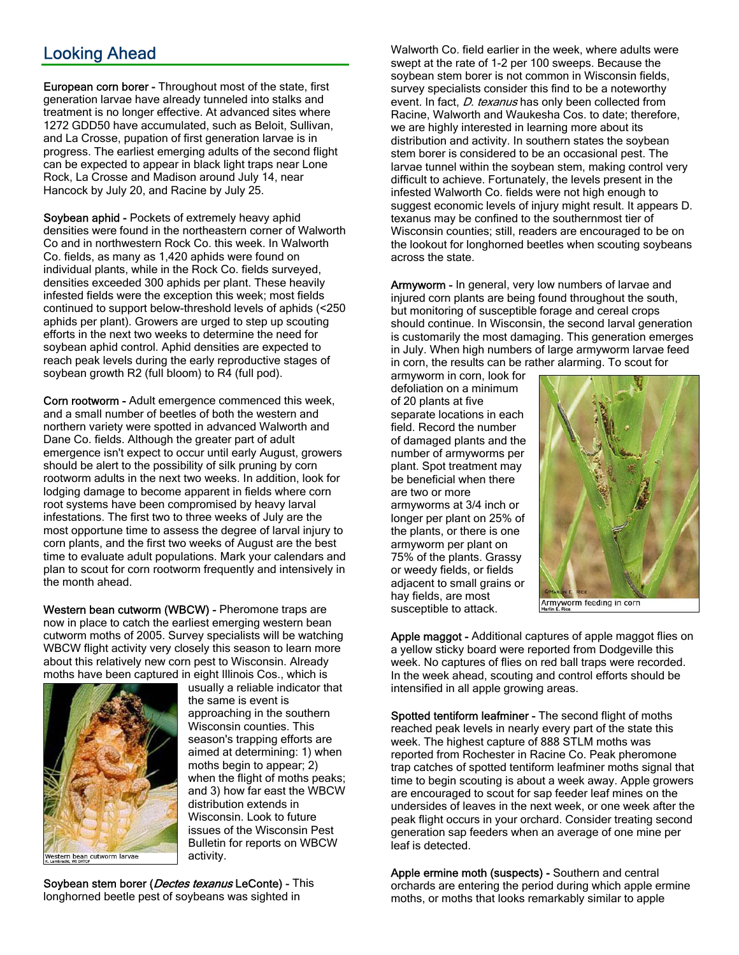## Looking Ahead

European corn borer - Throughout most of the state, first generation larvae have already tunneled into stalks and treatment is no longer effective. At advanced sites where 1272 GDD50 have accumulated, such as Beloit, Sullivan, and La Crosse, pupation of first generation larvae is in progress. The earliest emerging adults of the second flight can be expected to appear in black light traps near Lone Rock, La Crosse and Madison around July 14, near Hancock by July 20, and Racine by July 25.

Soybean aphid - Pockets of extremely heavy aphid densities were found in the northeastern corner of Walworth Co and in northwestern Rock Co. this week. In Walworth Co. fields, as many as 1,420 aphids were found on individual plants, while in the Rock Co. fields surveyed, densities exceeded 300 aphids per plant. These heavily infested fields were the exception this week; most fields continued to support below-threshold levels of aphids (<250 aphids per plant). Growers are urged to step up scouting efforts in the next two weeks to determine the need for soybean aphid control. Aphid densities are expected to reach peak levels during the early reproductive stages of soybean growth R2 (full bloom) to R4 (full pod).

Corn rootworm - Adult emergence commenced this week, and a small number of beetles of both the western and northern variety were spotted in advanced Walworth and Dane Co. fields. Although the greater part of adult emergence isn't expect to occur until early August, growers should be alert to the possibility of silk pruning by corn rootworm adults in the next two weeks. In addition, look for lodging damage to become apparent in fields where corn root systems have been compromised by heavy larval infestations. The first two to three weeks of July are the most opportune time to assess the degree of larval injury to corn plants, and the first two weeks of August are the best time to evaluate adult populations. Mark your calendars and plan to scout for corn rootworm frequently and intensively in the month ahead.

Western bean cutworm (WBCW) - Pheromone traps are now in place to catch the earliest emerging western bean cutworm moths of 2005. Survey specialists will be watching WBCW flight activity very closely this season to learn more about this relatively new corn pest to Wisconsin. Already moths have been captured in eight Illinois Cos., which is



usually a reliable indicator that the same is event is approaching in the southern Wisconsin counties. This season's trapping efforts are aimed at determining: 1) when moths begin to appear; 2) when the flight of moths peaks; and 3) how far east the WBCW distribution extends in Wisconsin. Look to future issues of the Wisconsin Pest Bulletin for reports on WBCW activity.

Soybean stem borer (*Dectes texanus* LeConte) - This

longhorned beetle pest of soybeans was sighted in

Walworth Co. field earlier in the week, where adults were swept at the rate of 1-2 per 100 sweeps. Because the soybean stem borer is not common in Wisconsin fields, survey specialists consider this find to be a noteworthy event. In fact, *D. texanus* has only been collected from Racine, Walworth and Waukesha Cos. to date; therefore, we are highly interested in learning more about its distribution and activity. In southern states the soybean stem borer is considered to be an occasional pest. The larvae tunnel within the soybean stem, making control very difficult to achieve. Fortunately, the levels present in the infested Walworth Co. fields were not high enough to suggest economic levels of injury might result. It appears D. texanus may be confined to the southernmost tier of Wisconsin counties; still, readers are encouraged to be on the lookout for longhorned beetles when scouting soybeans across the state.

Armyworm - In general, very low numbers of larvae and injured corn plants are being found throughout the south, but monitoring of susceptible forage and cereal crops should continue. In Wisconsin, the second larval generation is customarily the most damaging. This generation emerges in July. When high numbers of large armyworm larvae feed in corn, the results can be rather alarming. To scout for

armyworm in corn, look for defoliation on a minimum of 20 plants at five separate locations in each field. Record the number of damaged plants and the number of armyworms per plant. Spot treatment may be beneficial when there are two or more armyworms at 3/4 inch or longer per plant on 25% of the plants, or there is one armyworm per plant on 75% of the plants. Grassy or weedy fields, or fields adjacent to small grains or hay fields, are most susceptible to attack.



Armyworm feeding in corn

Apple maggot - Additional captures of apple maggot flies on a yellow sticky board were reported from Dodgeville this week. No captures of flies on red ball traps were recorded. In the week ahead, scouting and control efforts should be intensified in all apple growing areas.

Spotted tentiform leafminer - The second flight of moths reached peak levels in nearly every part of the state this week. The highest capture of 888 STLM moths was reported from Rochester in Racine Co. Peak pheromone trap catches of spotted tentiform leafminer moths signal that time to begin scouting is about a week away. Apple growers are encouraged to scout for sap feeder leaf mines on the undersides of leaves in the next week, or one week after the peak flight occurs in your orchard. Consider treating second generation sap feeders when an average of one mine per leaf is detected.

Apple ermine moth (suspects) - Southern and central orchards are entering the period during which apple ermine moths, or moths that looks remarkably similar to apple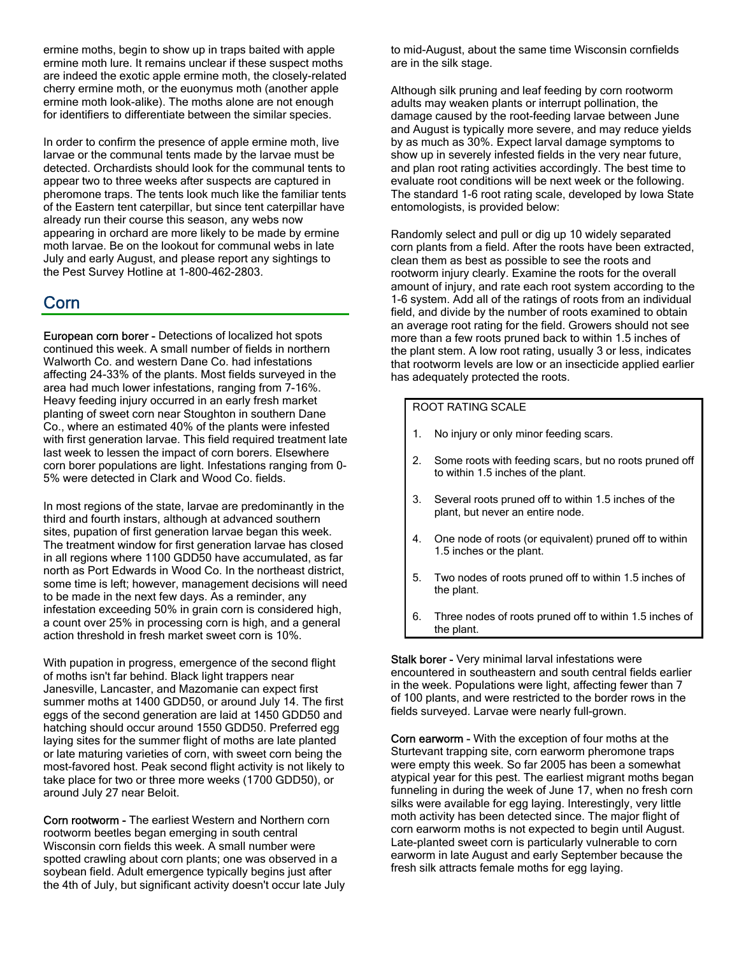ermine moths, begin to show up in traps baited with apple ermine moth lure. It remains unclear if these suspect moths are indeed the exotic apple ermine moth, the closely-related cherry ermine moth, or the euonymus moth (another apple ermine moth look-alike). The moths alone are not enough for identifiers to differentiate between the similar species.

In order to confirm the presence of apple ermine moth, live larvae or the communal tents made by the larvae must be detected. Orchardists should look for the communal tents to appear two to three weeks after suspects are captured in pheromone traps. The tents look much like the familiar tents of the Eastern tent caterpillar, but since tent caterpillar have already run their course this season, any webs now appearing in orchard are more likely to be made by ermine moth larvae. Be on the lookout for communal webs in late July and early August, and please report any sightings to the Pest Survey Hotline at 1-800-462-2803.

## Corn

European corn borer - Detections of localized hot spots continued this week. A small number of fields in northern Walworth Co. and western Dane Co. had infestations affecting 24-33% of the plants. Most fields surveyed in the area had much lower infestations, ranging from 7-16%. Heavy feeding injury occurred in an early fresh market planting of sweet corn near Stoughton in southern Dane Co., where an estimated 40% of the plants were infested with first generation larvae. This field required treatment late last week to lessen the impact of corn borers. Elsewhere corn borer populations are light. Infestations ranging from 0- 5% were detected in Clark and Wood Co. fields.

In most regions of the state, larvae are predominantly in the third and fourth instars, although at advanced southern sites, pupation of first generation larvae began this week. The treatment window for first generation larvae has closed in all regions where 1100 GDD50 have accumulated, as far north as Port Edwards in Wood Co. In the northeast district, some time is left; however, management decisions will need to be made in the next few days. As a reminder, any infestation exceeding 50% in grain corn is considered high, a count over 25% in processing corn is high, and a general action threshold in fresh market sweet corn is 10%.

With pupation in progress, emergence of the second flight of moths isn't far behind. Black light trappers near Janesville, Lancaster, and Mazomanie can expect first summer moths at 1400 GDD50, or around July 14. The first eggs of the second generation are laid at 1450 GDD50 and hatching should occur around 1550 GDD50. Preferred egg laying sites for the summer flight of moths are late planted or late maturing varieties of corn, with sweet corn being the most-favored host. Peak second flight activity is not likely to take place for two or three more weeks (1700 GDD50), or around July 27 near Beloit.

Corn rootworm - The earliest Western and Northern corn rootworm beetles began emerging in south central Wisconsin corn fields this week. A small number were spotted crawling about corn plants; one was observed in a soybean field. Adult emergence typically begins just after the 4th of July, but significant activity doesn't occur late July to mid-August, about the same time Wisconsin cornfields are in the silk stage.

Although silk pruning and leaf feeding by corn rootworm adults may weaken plants or interrupt pollination, the damage caused by the root-feeding larvae between June and August is typically more severe, and may reduce yields by as much as 30%. Expect larval damage symptoms to show up in severely infested fields in the very near future, and plan root rating activities accordingly. The best time to evaluate root conditions will be next week or the following. The standard 1-6 root rating scale, developed by Iowa State entomologists, is provided below:

Randomly select and pull or dig up 10 widely separated corn plants from a field. After the roots have been extracted, clean them as best as possible to see the roots and rootworm injury clearly. Examine the roots for the overall amount of injury, and rate each root system according to the 1-6 system. Add all of the ratings of roots from an individual field, and divide by the number of roots examined to obtain an average root rating for the field. Growers should not see more than a few roots pruned back to within 1.5 inches of the plant stem. A low root rating, usually 3 or less, indicates that rootworm levels are low or an insecticide applied earlier has adequately protected the roots.

### ROOT RATING SCALE

- 1. No injury or only minor feeding scars.
- 2. Some roots with feeding scars, but no roots pruned off to within 1.5 inches of the plant.
- 3. Several roots pruned off to within 1.5 inches of the plant, but never an entire node.
- 4. One node of roots (or equivalent) pruned off to within 1.5 inches or the plant.
- 5. Two nodes of roots pruned off to within 1.5 inches of the plant.
- 6. Three nodes of roots pruned off to within 1.5 inches of the plant.

Stalk borer - Very minimal larval infestations were encountered in southeastern and south central fields earlier in the week. Populations were light, affecting fewer than 7 of 100 plants, and were restricted to the border rows in the fields surveyed. Larvae were nearly full-grown.

Corn earworm - With the exception of four moths at the Sturtevant trapping site, corn earworm pheromone traps were empty this week. So far 2005 has been a somewhat atypical year for this pest. The earliest migrant moths began funneling in during the week of June 17, when no fresh corn silks were available for egg laying. Interestingly, very little moth activity has been detected since. The major flight of corn earworm moths is not expected to begin until August. Late-planted sweet corn is particularly vulnerable to corn earworm in late August and early September because the fresh silk attracts female moths for egg laying.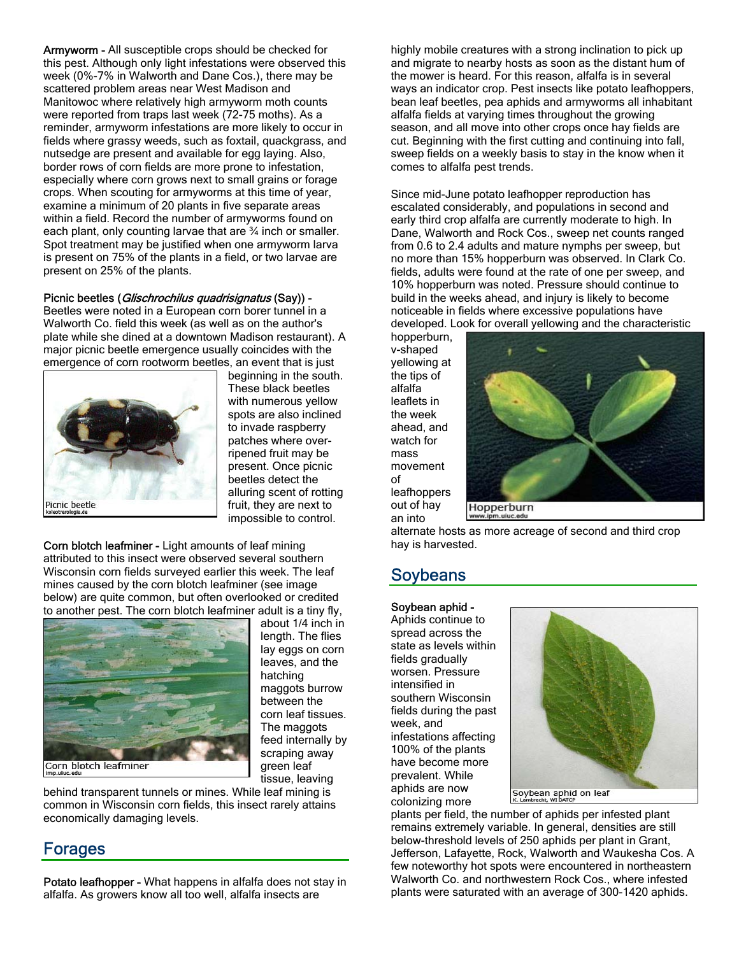Armyworm - All susceptible crops should be checked for this pest. Although only light infestations were observed this week (0%-7% in Walworth and Dane Cos.), there may be scattered problem areas near West Madison and Manitowoc where relatively high armyworm moth counts were reported from traps last week (72-75 moths). As a reminder, armyworm infestations are more likely to occur in fields where grassy weeds, such as foxtail, quackgrass, and nutsedge are present and available for egg laying. Also, border rows of corn fields are more prone to infestation, especially where corn grows next to small grains or forage crops. When scouting for armyworms at this time of year, examine a minimum of 20 plants in five separate areas within a field. Record the number of armyworms found on each plant, only counting larvae that are ¾ inch or smaller. Spot treatment may be justified when one armyworm larva is present on 75% of the plants in a field, or two larvae are present on 25% of the plants.

#### Picnic beetles (Glischrochilus quadrisignatus (Say)) -

Beetles were noted in a European corn borer tunnel in a Walworth Co. field this week (as well as on the author's plate while she dined at a downtown Madison restaurant). A major picnic beetle emergence usually coincides with the emergence of corn rootworm beetles, an event that is just



beginning in the south. These black beetles with numerous yellow spots are also inclined to invade raspberry patches where overripened fruit may be present. Once picnic beetles detect the alluring scent of rotting fruit, they are next to impossible to control.

Corn blotch leafminer - Light amounts of leaf mining attributed to this insect were observed several southern Wisconsin corn fields surveyed earlier this week. The leaf mines caused by the corn blotch leafminer (see image below) are quite common, but often overlooked or credited to another pest. The corn blotch leafminer adult is a tiny fly,



about 1/4 inch in length. The flies lay eggs on corn leaves, and the hatching maggots burrow between the corn leaf tissues. The maggots feed internally by scraping away green leaf tissue, leaving

behind transparent tunnels or mines. While leaf mining is common in Wisconsin corn fields, this insect rarely attains economically damaging levels.

### Forages

Potato leafhopper - What happens in alfalfa does not stay in alfalfa. As growers know all too well, alfalfa insects are

highly mobile creatures with a strong inclination to pick up and migrate to nearby hosts as soon as the distant hum of the mower is heard. For this reason, alfalfa is in several ways an indicator crop. Pest insects like potato leafhoppers, bean leaf beetles, pea aphids and armyworms all inhabitant alfalfa fields at varying times throughout the growing season, and all move into other crops once hay fields are cut. Beginning with the first cutting and continuing into fall, sweep fields on a weekly basis to stay in the know when it comes to alfalfa pest trends.

Since mid-June potato leafhopper reproduction has escalated considerably, and populations in second and early third crop alfalfa are currently moderate to high. In Dane, Walworth and Rock Cos., sweep net counts ranged from 0.6 to 2.4 adults and mature nymphs per sweep, but no more than 15% hopperburn was observed. In Clark Co. fields, adults were found at the rate of one per sweep, and 10% hopperburn was noted. Pressure should continue to build in the weeks ahead, and injury is likely to become noticeable in fields where excessive populations have developed. Look for overall yellowing and the characteristic

hopperburn, v-shaped yellowing at the tips of alfalfa leaflets in the week ahead, and watch for mass movement of leafhoppers out of hay an into



Hopperburn

alternate hosts as more acreage of second and third crop hay is harvested.

### Soybeans

#### Soybean aphid -

Aphids continue to spread across the state as levels within fields gradually worsen. Pressure intensified in southern Wisconsin fields during the past week, and infestations affecting 100% of the plants have become more prevalent. While aphids are now colonizing more



plants per field, the number of aphids per infested plant remains extremely variable. In general, densities are still below-threshold levels of 250 aphids per plant in Grant, Jefferson, Lafayette, Rock, Walworth and Waukesha Cos. A few noteworthy hot spots were encountered in northeastern Walworth Co. and northwestern Rock Cos., where infested plants were saturated with an average of 300-1420 aphids.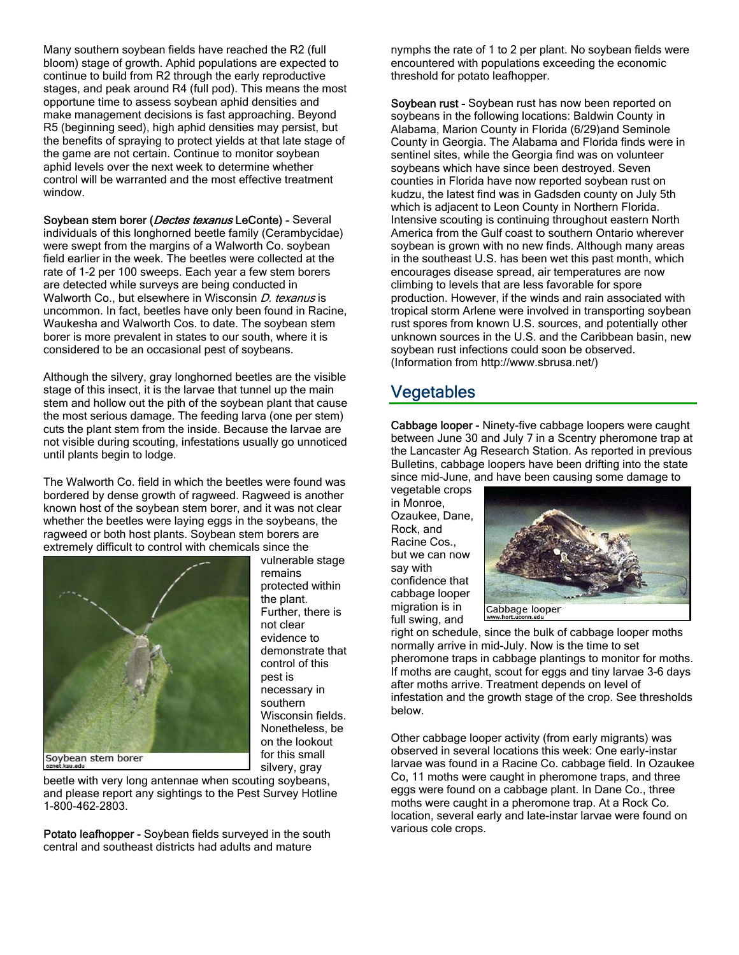Many southern soybean fields have reached the R2 (full bloom) stage of growth. Aphid populations are expected to continue to build from R2 through the early reproductive stages, and peak around R4 (full pod). This means the most opportune time to assess soybean aphid densities and make management decisions is fast approaching. Beyond R5 (beginning seed), high aphid densities may persist, but the benefits of spraying to protect yields at that late stage of the game are not certain. Continue to monitor soybean aphid levels over the next week to determine whether control will be warranted and the most effective treatment window.

Soybean stem borer (*Dectes texanus* LeConte) - Several individuals of this longhorned beetle family (Cerambycidae) were swept from the margins of a Walworth Co. soybean field earlier in the week. The beetles were collected at the rate of 1-2 per 100 sweeps. Each year a few stem borers are detected while surveys are being conducted in Walworth Co., but elsewhere in Wisconsin D. texanus is uncommon. In fact, beetles have only been found in Racine, Waukesha and Walworth Cos. to date. The soybean stem borer is more prevalent in states to our south, where it is considered to be an occasional pest of soybeans.

Although the silvery, gray longhorned beetles are the visible stage of this insect, it is the larvae that tunnel up the main stem and hollow out the pith of the soybean plant that cause the most serious damage. The feeding larva (one per stem) cuts the plant stem from the inside. Because the larvae are not visible during scouting, infestations usually go unnoticed until plants begin to lodge.

The Walworth Co. field in which the beetles were found was bordered by dense growth of ragweed. Ragweed is another known host of the soybean stem borer, and it was not clear whether the beetles were laying eggs in the soybeans, the ragweed or both host plants. Soybean stem borers are extremely difficult to control with chemicals since the



vulnerable stage remains protected within the plant. Further, there is not clear evidence to demonstrate that control of this pest is necessary in southern Wisconsin fields. Nonetheless, be on the lookout for this small silvery, gray

beetle with very long antennae when scouting soybeans, and please report any sightings to the Pest Survey Hotline 1-800-462-2803.

Potato leafhopper - Soybean fields surveyed in the south central and southeast districts had adults and mature

nymphs the rate of 1 to 2 per plant. No soybean fields were encountered with populations exceeding the economic threshold for potato leafhopper.

Soybean rust - Soybean rust has now been reported on soybeans in the following locations: Baldwin County in Alabama, Marion County in Florida (6/29)and Seminole County in Georgia. The Alabama and Florida finds were in sentinel sites, while the Georgia find was on volunteer soybeans which have since been destroyed. Seven counties in Florida have now reported soybean rust on kudzu, the latest find was in Gadsden county on July 5th which is adjacent to Leon County in Northern Florida. Intensive scouting is continuing throughout eastern North America from the Gulf coast to southern Ontario wherever soybean is grown with no new finds. Although many areas in the southeast U.S. has been wet this past month, which encourages disease spread, air temperatures are now climbing to levels that are less favorable for spore production. However, if the winds and rain associated with tropical storm Arlene were involved in transporting soybean rust spores from known U.S. sources, and potentially other unknown sources in the U.S. and the Caribbean basin, new soybean rust infections could soon be observed. (Information from http://www.sbrusa.net/)

## Vegetables

Cabbage looper - Ninety-five cabbage loopers were caught between June 30 and July 7 in a Scentry pheromone trap at the Lancaster Ag Research Station. As reported in previous Bulletins, cabbage loopers have been drifting into the state since mid-June, and have been causing some damage to

vegetable crops in Monroe, Ozaukee, Dane, Rock, and Racine Cos., but we can now say with confidence that cabbage looper migration is in full swing, and



right on schedule, since the bulk of cabbage looper moths normally arrive in mid-July. Now is the time to set pheromone traps in cabbage plantings to monitor for moths. If moths are caught, scout for eggs and tiny larvae 3-6 days after moths arrive. Treatment depends on level of infestation and the growth stage of the crop. See thresholds below.

Other cabbage looper activity (from early migrants) was observed in several locations this week: One early-instar larvae was found in a Racine Co. cabbage field. In Ozaukee Co, 11 moths were caught in pheromone traps, and three eggs were found on a cabbage plant. In Dane Co., three moths were caught in a pheromone trap. At a Rock Co. location, several early and late-instar larvae were found on various cole crops.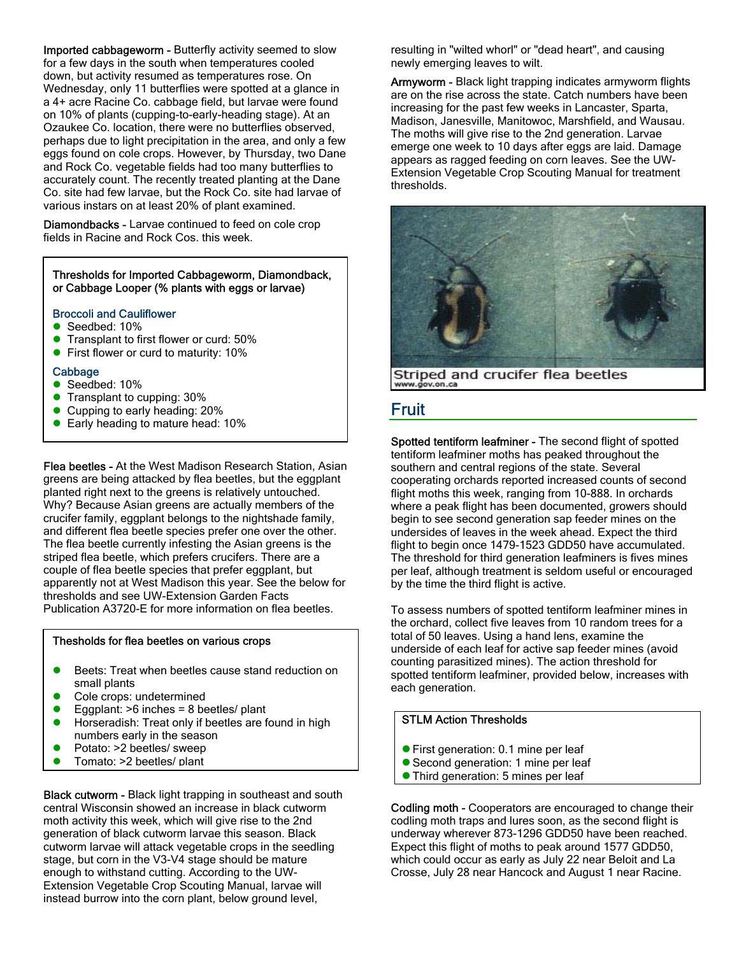Imported cabbageworm - Butterfly activity seemed to slow for a few days in the south when temperatures cooled down, but activity resumed as temperatures rose. On Wednesday, only 11 butterflies were spotted at a glance in a 4+ acre Racine Co. cabbage field, but larvae were found on 10% of plants (cupping-to-early-heading stage). At an Ozaukee Co. location, there were no butterflies observed, perhaps due to light precipitation in the area, and only a few eggs found on cole crops. However, by Thursday, two Dane and Rock Co. vegetable fields had too many butterflies to accurately count. The recently treated planting at the Dane Co. site had few larvae, but the Rock Co. site had larvae of various instars on at least 20% of plant examined.

Diamondbacks - Larvae continued to feed on cole crop fields in Racine and Rock Cos. this week.

#### Thresholds for Imported Cabbageworm, Diamondback, or Cabbage Looper (% plants with eggs or larvae)

#### Broccoli and Cauliflower

- $\bullet$  Seedbed: 10%
- **•** Transplant to first flower or curd: 50%
- **•** First flower or curd to maturity: 10%

#### Cabbage

- $\bullet$  Seedbed: 10%
- Transplant to cupping: 30%
- $\bullet$  Cupping to early heading: 20%
- Early heading to mature head: 10%

Flea beetles - At the West Madison Research Station, Asian greens are being attacked by flea beetles, but the eggplant planted right next to the greens is relatively untouched. Why? Because Asian greens are actually members of the crucifer family, eggplant belongs to the nightshade family, and different flea beetle species prefer one over the other. The flea beetle currently infesting the Asian greens is the striped flea beetle, which prefers crucifers. There are a couple of flea beetle species that prefer eggplant, but apparently not at West Madison this year. See the below for thresholds and see UW-Extension Garden Facts Publication A3720-E for more information on flea beetles.

#### Thesholds for flea beetles on various crops

- **•** Beets: Treat when beetles cause stand reduction on small plants
- Cole crops: undetermined
- Eggplant:  $>6$  inches = 8 beetles/ plant
- $\bullet$  Horseradish: Treat only if beetles are found in high numbers early in the season
- Potato: >2 beetles/ sweep
- **Tomato: >2 beetles/ plant**

Black cutworm - Black light trapping in southeast and south central Wisconsin showed an increase in black cutworm moth activity this week, which will give rise to the 2nd generation of black cutworm larvae this season. Black cutworm larvae will attack vegetable crops in the seedling stage, but corn in the V3-V4 stage should be mature enough to withstand cutting. According to the UW-Extension Vegetable Crop Scouting Manual, larvae will instead burrow into the corn plant, below ground level,

resulting in "wilted whorl" or "dead heart", and causing newly emerging leaves to wilt.

Armyworm - Black light trapping indicates armyworm flights are on the rise across the state. Catch numbers have been increasing for the past few weeks in Lancaster, Sparta, Madison, Janesville, Manitowoc, Marshfield, and Wausau. The moths will give rise to the 2nd generation. Larvae emerge one week to 10 days after eggs are laid. Damage appears as ragged feeding on corn leaves. See the UW-Extension Vegetable Crop Scouting Manual for treatment thresholds.



Striped and crucifer flea beetles www.gov.on.ca

### Fruit

Spotted tentiform leafminer - The second flight of spotted tentiform leafminer moths has peaked throughout the southern and central regions of the state. Several cooperating orchards reported increased counts of second flight moths this week, ranging from 10-888. In orchards where a peak flight has been documented, growers should begin to see second generation sap feeder mines on the undersides of leaves in the week ahead. Expect the third flight to begin once 1479-1523 GDD50 have accumulated. The threshold for third generation leafminers is fives mines per leaf, although treatment is seldom useful or encouraged by the time the third flight is active.

To assess numbers of spotted tentiform leafminer mines in the orchard, collect five leaves from 10 random trees for a total of 50 leaves. Using a hand lens, examine the underside of each leaf for active sap feeder mines (avoid counting parasitized mines). The action threshold for spotted tentiform leafminer, provided below, increases with each generation.

### STLM Action Thresholds

- **•** First generation: 0.1 mine per leaf
- **Second generation: 1 mine per leaf**
- **Third generation: 5 mines per leaf**

Codling moth - Cooperators are encouraged to change their codling moth traps and lures soon, as the second flight is underway wherever 873-1296 GDD50 have been reached. Expect this flight of moths to peak around 1577 GDD50, which could occur as early as July 22 near Beloit and La Crosse, July 28 near Hancock and August 1 near Racine.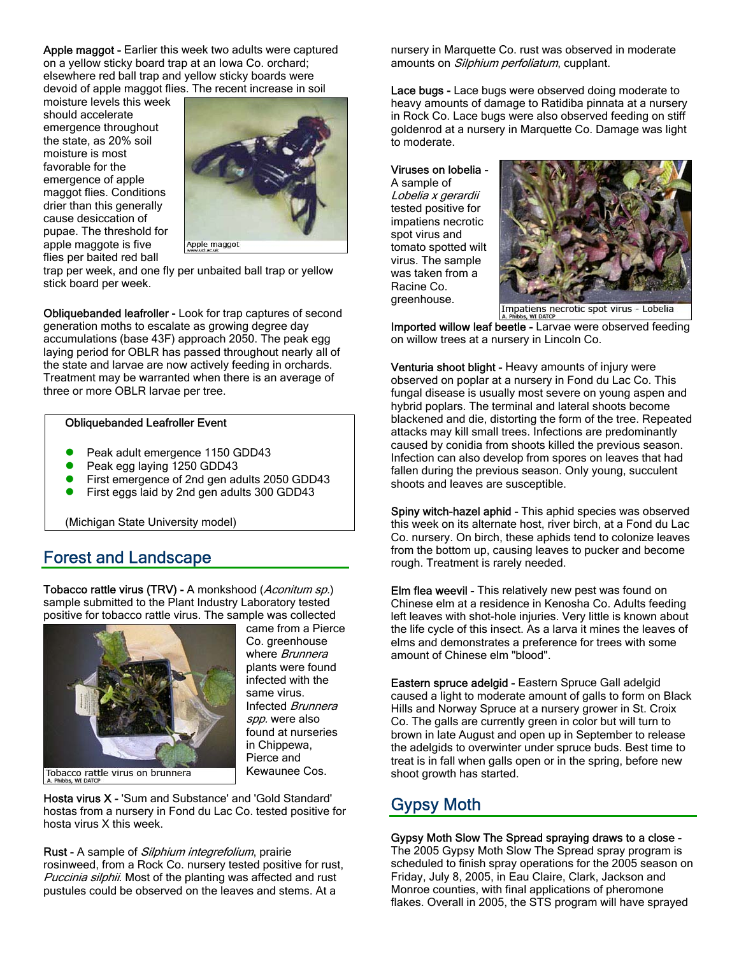Apple maggot - Earlier this week two adults were captured on a yellow sticky board trap at an Iowa Co. orchard; elsewhere red ball trap and yellow sticky boards were devoid of apple maggot flies. The recent increase in soil

moisture levels this week should accelerate emergence throughout the state, as 20% soil moisture is most favorable for the emergence of apple maggot flies. Conditions drier than this generally cause desiccation of pupae. The threshold for apple maggote is five flies per baited red ball



trap per week, and one fly per unbaited ball trap or yellow stick board per week.

Obliquebanded leafroller - Look for trap captures of second generation moths to escalate as growing degree day accumulations (base 43F) approach 2050. The peak egg laying period for OBLR has passed throughout nearly all of the state and larvae are now actively feeding in orchards. Treatment may be warranted when there is an average of three or more OBLR larvae per tree.

#### Obliquebanded Leafroller Event

- Peak adult emergence 1150 GDD43
- Peak egg laying 1250 GDD43
- First emergence of 2nd gen adults 2050 GDD43
- First eggs laid by 2nd gen adults 300 GDD43

(Michigan State University model)

### Forest and Landscape

Tobacco rattle virus (TRV) - A monkshood (Aconitum sp.) sample submitted to the Plant Industry Laboratory tested positive for tobacco rattle virus. The sample was collected



came from a Pierce Co. greenhouse where Brunnera plants were found infected with the same virus. Infected Brunnera spp. were also found at nurseries in Chippewa, Pierce and Kewaunee Cos.

Hosta virus X - 'Sum and Substance' and 'Gold Standard' hostas from a nursery in Fond du Lac Co. tested positive for hosta virus X this week.

Rust - A sample of Silphium integrefolium, prairie rosinweed, from a Rock Co. nursery tested positive for rust, Puccinia silphii. Most of the planting was affected and rust pustules could be observed on the leaves and stems. At a

nursery in Marquette Co. rust was observed in moderate amounts on *Silphium perfoliatum*, cupplant.

Lace bugs - Lace bugs were observed doing moderate to heavy amounts of damage to Ratidiba pinnata at a nursery in Rock Co. Lace bugs were also observed feeding on stiff goldenrod at a nursery in Marquette Co. Damage was light to moderate.

Viruses on lobelia -

A sample of Lobelia x gerardii tested positive for impatiens necrotic spot virus and tomato spotted wilt virus. The sample was taken from a Racine Co. greenhouse.



Impatiens necrotic spot virus - Lobelia

Imported willow leaf beetle - Larvae were observed feeding on willow trees at a nursery in Lincoln Co.

Venturia shoot blight - Heavy amounts of injury were observed on poplar at a nursery in Fond du Lac Co. This fungal disease is usually most severe on young aspen and hybrid poplars. The terminal and lateral shoots become blackened and die, distorting the form of the tree. Repeated attacks may kill small trees. Infections are predominantly caused by conidia from shoots killed the previous season. Infection can also develop from spores on leaves that had fallen during the previous season. Only young, succulent shoots and leaves are susceptible.

Spiny witch-hazel aphid - This aphid species was observed this week on its alternate host, river birch, at a Fond du Lac Co. nursery. On birch, these aphids tend to colonize leaves from the bottom up, causing leaves to pucker and become rough. Treatment is rarely needed.

Elm flea weevil - This relatively new pest was found on Chinese elm at a residence in Kenosha Co. Adults feeding left leaves with shot-hole injuries. Very little is known about the life cycle of this insect. As a larva it mines the leaves of elms and demonstrates a preference for trees with some amount of Chinese elm "blood".

Eastern spruce adelgid - Eastern Spruce Gall adelgid caused a light to moderate amount of galls to form on Black Hills and Norway Spruce at a nursery grower in St. Croix Co. The galls are currently green in color but will turn to brown in late August and open up in September to release the adelgids to overwinter under spruce buds. Best time to treat is in fall when galls open or in the spring, before new shoot growth has started.

## Gypsy Moth

#### Gypsy Moth Slow The Spread spraying draws to a close - The 2005 Gypsy Moth Slow The Spread spray program is scheduled to finish spray operations for the 2005 season on Friday, July 8, 2005, in Eau Claire, Clark, Jackson and Monroe counties, with final applications of pheromone flakes. Overall in 2005, the STS program will have sprayed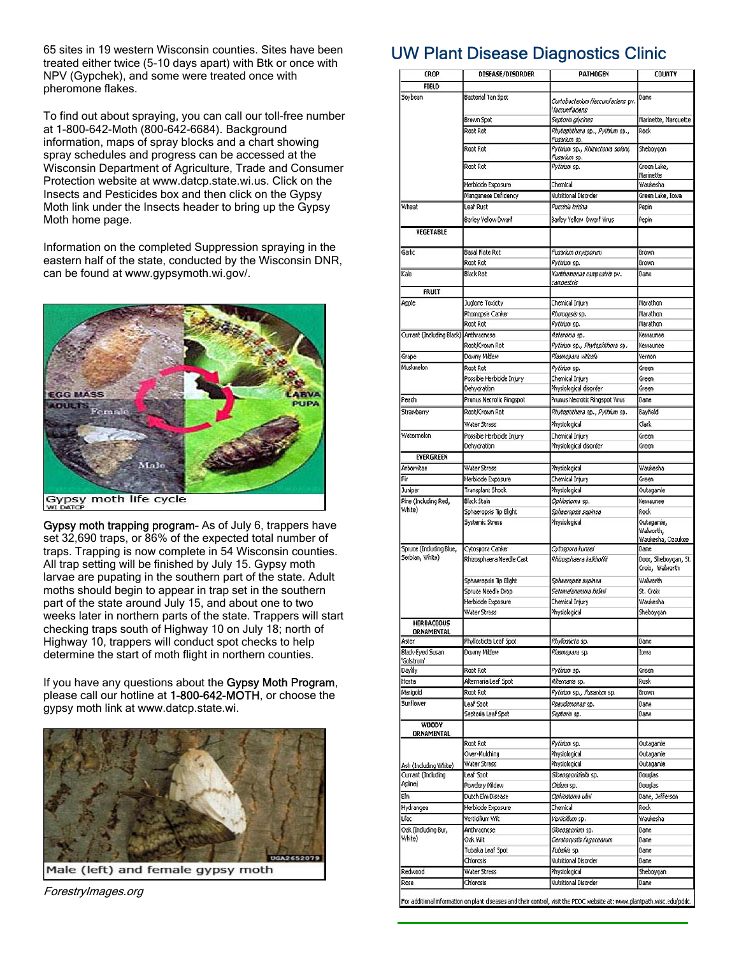65 sites in 19 western Wisconsin counties. Sites have been treated either twice (5-10 days apart) with Btk or once with NPV (Gypchek), and some were treated once with pheromone flakes.

To find out about spraying, you can call our toll-free number at 1-800-642-Moth (800-642-6684). Background information, maps of spray blocks and a chart showing spray schedules and progress can be accessed at the Wisconsin Department of Agriculture, Trade and Consumer Protection website at www.datcp.state.wi.us. Click on the Insects and Pesticides box and then click on the Gypsy Moth link under the Insects header to bring up the Gypsy Moth home page.

Information on the completed Suppression spraying in the eastern half of the state, conducted by the Wisconsin DNR, can be found at www.gypsymoth.wi.gov/.



Gypsy moth trapping program- As of July 6, trappers have set 32,690 traps, or 86% of the expected total number of traps. Trapping is now complete in 54 Wisconsin counties. All trap setting will be finished by July 15. Gypsy moth larvae are pupating in the southern part of the state. Adult moths should begin to appear in trap set in the southern part of the state around July 15, and about one to two weeks later in northern parts of the state. Trappers will start checking traps south of Highway 10 on July 18; north of Highway 10, trappers will conduct spot checks to help determine the start of moth flight in northern counties.

If you have any questions about the Gypsy Moth Program, please call our hotline at 1-800-642-MOTH, or choose the gypsy moth link at www.datcp.state.wi.



Male (left) and female gypsy moth

ForestryImages.org

## UW Plant Disease Diagnostics Clinic

| CROP                                        | DISEASE/DISORDER                      | PATHOGEN                                            | COUNTY                                       |  |  |
|---------------------------------------------|---------------------------------------|-----------------------------------------------------|----------------------------------------------|--|--|
| <b>FIELD</b>                                |                                       |                                                     |                                              |  |  |
| Soybean                                     | Bacterial Tan Spot                    | Curtobacterium flaccumfaciens pv.<br>flaccumfaciens | Dane                                         |  |  |
|                                             | Brown Spot                            | Septoria glycines                                   | Marinette, Marquette                         |  |  |
|                                             | Root Rot                              | Phytophthora sp., Pythium sp.,<br>Fusarium sp.      | Rock                                         |  |  |
|                                             | Root Rot                              | Pythium sp., Rhizoctonia solani,<br>Fusanum sp.     | Sheboygan                                    |  |  |
|                                             | Root Rot                              | Pythium sp.                                         | Green Lake,<br>Marinette                     |  |  |
|                                             | Herbicide Exposure                    | Chemical                                            | Waukesha                                     |  |  |
|                                             | Manganese Deficiency                  | Nutritional Disorder                                | Green Lake, Iowa                             |  |  |
| <b>Wheat</b>                                | Leaf Rust<br>Barley Yellow Dwarf      | Puccinia tricina<br>Barley Yellow Dwarf Virus       | Pepin<br>Pepin                               |  |  |
| VEGETABLE                                   |                                       |                                                     |                                              |  |  |
| Garlic                                      | Basal Plate Rot                       | Fusarium oxysporum                                  | Brown                                        |  |  |
|                                             | Root Rot                              | Pythium sp.                                         | Brown                                        |  |  |
| Kale                                        | Black Rot                             | Xanthomonas campestris pv.<br>campestris            | Dane                                         |  |  |
| <b>FRUIT</b>                                |                                       |                                                     |                                              |  |  |
| Apple                                       | Juglone Toxicity                      | Chemical Injury                                     | Marathon                                     |  |  |
|                                             | Phomopsis Canker                      | Phomopsis sp.                                       | Marathon                                     |  |  |
|                                             | Root Rot                              | Pythium sp.                                         | Marathon                                     |  |  |
| Currant (Including Black)                   | Anthracnose                           | Asteroma so.                                        | Kewaunee                                     |  |  |
|                                             | Root/Crown Rot                        | Pythium sp., Phytophthora sp.                       | Kewaunee                                     |  |  |
| Grape<br>Muskmelon                          | Downy Midew                           | Plasmopara viticola                                 | Vernon                                       |  |  |
|                                             | Root Rot<br>Possible Herbicide Injury | Pythium sp.<br>Chemical Injury                      | Green<br>Green                               |  |  |
|                                             | Dehydration                           | Physiological disorder                              | Green                                        |  |  |
| Peach                                       | Prunus Necrotic Ringspot              | Prunus Necrotic Ringspot Virus                      | Dane                                         |  |  |
| Strawberry                                  | Root/Crown Rot                        | Phytophthora sp., Pythium sp.                       | Bayfield                                     |  |  |
|                                             | Water Stress                          | Physiological                                       | Clark                                        |  |  |
| Watermelon                                  | Possible Herbicide Injury             | Chemical Injury                                     | Green                                        |  |  |
|                                             | Dehydration                           | Physiological disorder                              | Green                                        |  |  |
| <b>EVERGREEN</b>                            |                                       |                                                     |                                              |  |  |
| Arborvitae                                  | Water Stress                          | Physiological                                       | Waukesha                                     |  |  |
| ۴r                                          | Herbicide Exposure                    | Chemical Injury                                     | Green                                        |  |  |
| Juniper                                     | Transplant Shock                      | Physiological                                       | Outagamie                                    |  |  |
| Pine (Including Red,                        | Black Stain                           | Ophiostoma sp.                                      | Kewaunee                                     |  |  |
| White)                                      | Sphaeropsis Tip Blight                | Sphaeropsis sapinea                                 | <b>Rock</b>                                  |  |  |
|                                             | Systemic Stress                       | Physiological                                       | Outagamie,<br>Walworth,<br>Waukesha, Ozaukee |  |  |
| Spruce (Including Blue,                     | Cytospora Canker                      | Cytospora kunzei                                    | Dane                                         |  |  |
| Serbian, White)                             | Rhizosphaera Needle Cast              | Rhizosphaera kalkhoffii                             | Door, Sheboygan, St.<br>Croix, Walworth      |  |  |
|                                             | Sphaeropsis Tip Blight                | Sphaeropsis sapinea                                 | Walworth                                     |  |  |
|                                             | Spruce Needle Drop                    | Setomelanomma holmil                                | St. Croix                                    |  |  |
|                                             | Herbicide Exposure                    | Chemical Injury                                     | Waukesha                                     |  |  |
|                                             | Water Stress                          | Physiological                                       | Sheboygan                                    |  |  |
| <b>HERBACEOUS</b>                           |                                       |                                                     |                                              |  |  |
| ORNAMENTAL<br>Aster                         | Phyllosticta Leaf Spot                | Phylosticta sp.                                     | Dane                                         |  |  |
| Black-Eyed Susan<br>'Golstrum'              | Downy Mildew                          | Plasmopara sp.                                      | <b>Towa</b>                                  |  |  |
| Daylly                                      | Root Rot                              | Pythium sp.                                         | Green                                        |  |  |
| Hosta                                       | Alternaria Leaf Spot                  | Alternaria sp.                                      | <b>Rusk</b>                                  |  |  |
| Marigold                                    | Root Rot                              | Pythium sp., Fusarium sp.                           | Brown                                        |  |  |
| Sunflower                                   | Leaf Spot                             | Pseudomonas sp.                                     | Dane                                         |  |  |
|                                             | Septoria Leaf Spot                    | Septoria sp.                                        | Dane                                         |  |  |
| <b>WOODY</b><br>ORNAMENTAL                  |                                       |                                                     |                                              |  |  |
|                                             | Root Rot                              | Pythium sp.                                         | Outagamie                                    |  |  |
|                                             | Over-Mulching<br>Water Stress         | Physiological                                       | Outagamie<br>Outagamie                       |  |  |
| Ash (Including White)<br>Currant (Including | Leaf Spot                             | Physiological<br>Gloeosporidiella sp.               | Douglas                                      |  |  |
| Apline)                                     | Powdery Mildew                        | Oidium sp.                                          | Douglas                                      |  |  |
| ε'n                                         | Dutch Elm Disease                     | Coniostoma ulmi                                     | Dane, Jefferson                              |  |  |
| Hydrangea                                   | Herbicide Exposure                    | Chemical                                            | <b>Rock</b>                                  |  |  |
| Lilac                                       | Verticilium Wik                       | Verticilium sp.                                     | Waukesha                                     |  |  |
| Oak (Including Bur,                         | Anthracnose                           | Gloeosporium sp.                                    | Dane                                         |  |  |
| White)                                      | Oak Wilt                              | Ceratocystis fagacearum                             | Dane                                         |  |  |
|                                             | Tubakia Leaf Spot                     | Tubakia sp.                                         | Dane                                         |  |  |
|                                             | Chlorosis                             | Nutritional Disorder                                | Dane                                         |  |  |
| Redwood                                     | Water Stress                          | Physiological                                       | Sheboygan                                    |  |  |
| Rose                                        | Chlorosis                             | Nutritional Disorder                                | Dane                                         |  |  |
|                                             |                                       |                                                     |                                              |  |  |

For additional information on plant diseases and their control, visit the PDDC website at: www.plantpath.wisc.edu/pddc.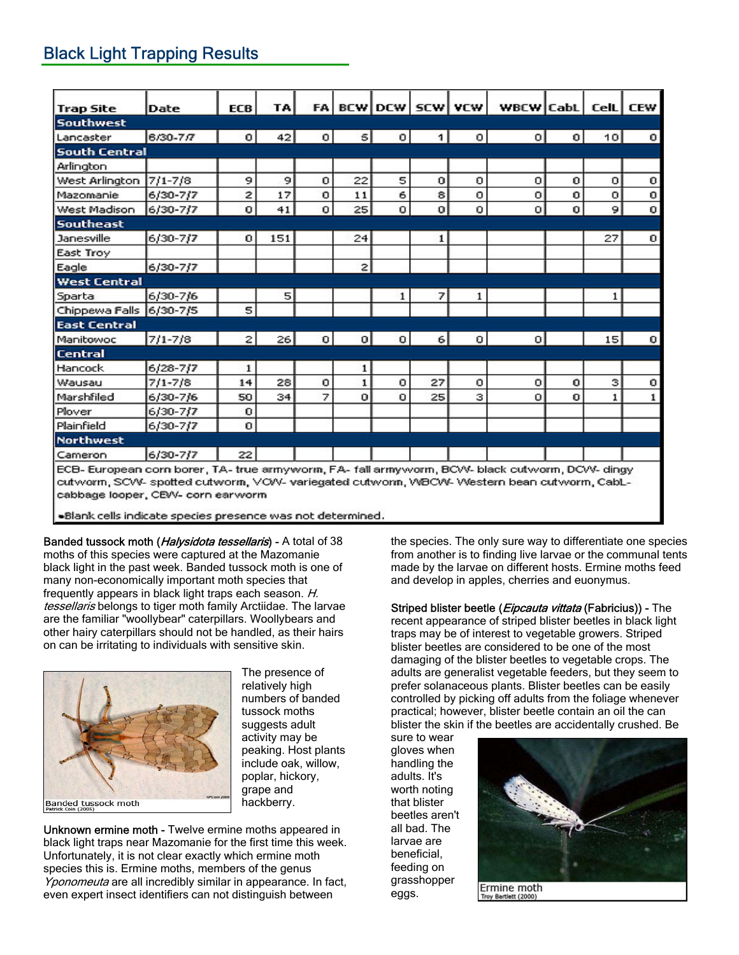## Black Light Trapping Results

| <b>Trap Site</b>                                                                               | Date         | ECB          | TA  |          |              | FA BCW DCW SCW VCW |          |   | WBCW CabL   CelL   CEW |   |    |   |
|------------------------------------------------------------------------------------------------|--------------|--------------|-----|----------|--------------|--------------------|----------|---|------------------------|---|----|---|
| <b>Southwest</b>                                                                               |              |              |     |          |              |                    |          |   |                        |   |    |   |
| Lancaster                                                                                      | 6/30-7/7     | $\Omega$     | 42  | $\circ$  | $\vert$      | 0                  | 1.       | 0 | οI                     | 0 | 10 | о |
| <b>South Central</b>                                                                           |              |              |     |          |              |                    |          |   |                        |   |    |   |
| Arlington                                                                                      |              |              |     |          |              |                    |          |   |                        |   |    |   |
| West Arlington                                                                                 | $7/1 - 7/8$  | 9            | 9   | 0        | 22           | 5                  | 0        | 0 | о                      | 0 | 0  | o |
| Mazomanie                                                                                      | 6/30-7/7     | 2            | 17  | о        | 11           | 6                  | 8        | о | о                      | o | o  | о |
| West Madison                                                                                   | 6/30-7/7     | 0            | 41  | $\Omega$ | 25           | 0                  | $\Omega$ | 0 | $\Omega$               | 0 | 9  | 0 |
| <b>Southeast</b>                                                                               |              |              |     |          |              |                    |          |   |                        |   |    |   |
| Janesville                                                                                     | 6/30-7/7     | 0            | 151 |          | 24           |                    | 1        |   |                        |   | 27 | 0 |
| East Troy                                                                                      |              |              |     |          |              |                    |          |   |                        |   |    |   |
| Eagle                                                                                          | 6/30-7/7     |              |     |          | $\mathbf{z}$ |                    |          |   |                        |   |    |   |
| <b>West Central</b>                                                                            |              |              |     |          |              |                    |          |   |                        |   |    |   |
| Sparta                                                                                         | 6/30-7/6     |              | 5   |          |              |                    | 7        | 1 |                        |   |    |   |
| Chippewa Falls 6/30-7/5                                                                        |              | 5            |     |          |              |                    |          |   |                        |   |    |   |
| <b>East Central</b>                                                                            |              |              |     |          |              |                    |          |   |                        |   |    |   |
| Manitowoc                                                                                      | 7/1-7/8      | $\mathbf{2}$ | 26  | 0        | $\sigma$     | 0                  | 6        | о | $\Omega$               |   | 15 | 0 |
| <b>Central</b>                                                                                 |              |              |     |          |              |                    |          |   |                        |   |    |   |
| Hancock                                                                                        | 6/28-7/7     | 1            |     |          | 1            |                    |          |   |                        |   |    |   |
| Wausau                                                                                         | $7/1 - 7/8$  | 14           | 28  | $\circ$  | $\mathbf{1}$ | o                  | 27       | o | о                      | о | з  | o |
| Marshfiled                                                                                     | 6/30-7/6     | 50           | 34  | 7        | $\circ$      | o                  | 25       | з | о                      | o | 1  |   |
| Plover                                                                                         | $6/30-7/7$   | 0            |     |          |              |                    |          |   |                        |   |    |   |
| Plainfield                                                                                     | $6/30 - 7/7$ | 0            |     |          |              |                    |          |   |                        |   |    |   |
| <b>Northwest</b>                                                                               |              |              |     |          |              |                    |          |   |                        |   |    |   |
| Cameron                                                                                        | 6/30-7/7     | 22           |     |          |              |                    |          |   |                        |   |    |   |
| ECB- European corn borer, TA- true armyworm, FA- fall armyworm, BCW- black cutworm, DCW- dingy |              |              |     |          |              |                    |          |   |                        |   |    |   |
| cutworm, SCW- spotted cutworm, VOW- variegated cutworm, WBCW- Western bean cutworm, CabL-      |              |              |     |          |              |                    |          |   |                        |   |    |   |
| cabbage looper, CEVV- corn earworm                                                             |              |              |     |          |              |                    |          |   |                        |   |    |   |

·Blank cells indicate species presence was not determined.

Banded tussock moth (*Halysidota tessellaris*) - A total of 38 moths of this species were captured at the Mazomanie black light in the past week. Banded tussock moth is one of many non-economically important moth species that frequently appears in black light traps each season. H. tessellaris belongs to tiger moth family Arctiidae. The larvae are the familiar "woollybear" caterpillars. Woollybears and other hairy caterpillars should not be handled, as their hairs on can be irritating to individuals with sensitive skin.



The presence of relatively high numbers of banded tussock moths suggests adult activity may be peaking. Host plants include oak, willow, poplar, hickory, grape and hackberry.

Unknown ermine moth - Twelve ermine moths appeared in black light traps near Mazomanie for the first time this week. Unfortunately, it is not clear exactly which ermine moth species this is. Ermine moths, members of the genus Yponomeuta are all incredibly similar in appearance. In fact, even expert insect identifiers can not distinguish between

the species. The only sure way to differentiate one species from another is to finding live larvae or the communal tents made by the larvae on different hosts. Ermine moths feed and develop in apples, cherries and euonymus.

Striped blister beetle (*Eipcauta vittata* (Fabricius)) - The recent appearance of striped blister beetles in black light traps may be of interest to vegetable growers. Striped blister beetles are considered to be one of the most damaging of the blister beetles to vegetable crops. The adults are generalist vegetable feeders, but they seem to prefer solanaceous plants. Blister beetles can be easily controlled by picking off adults from the foliage whenever practical; however, blister beetle contain an oil the can blister the skin if the beetles are accidentally crushed. Be

sure to wear gloves when handling the adults. It's worth noting that blister beetles aren't all bad. The larvae are beneficial, feeding on grasshopper eggs.



Ermine moth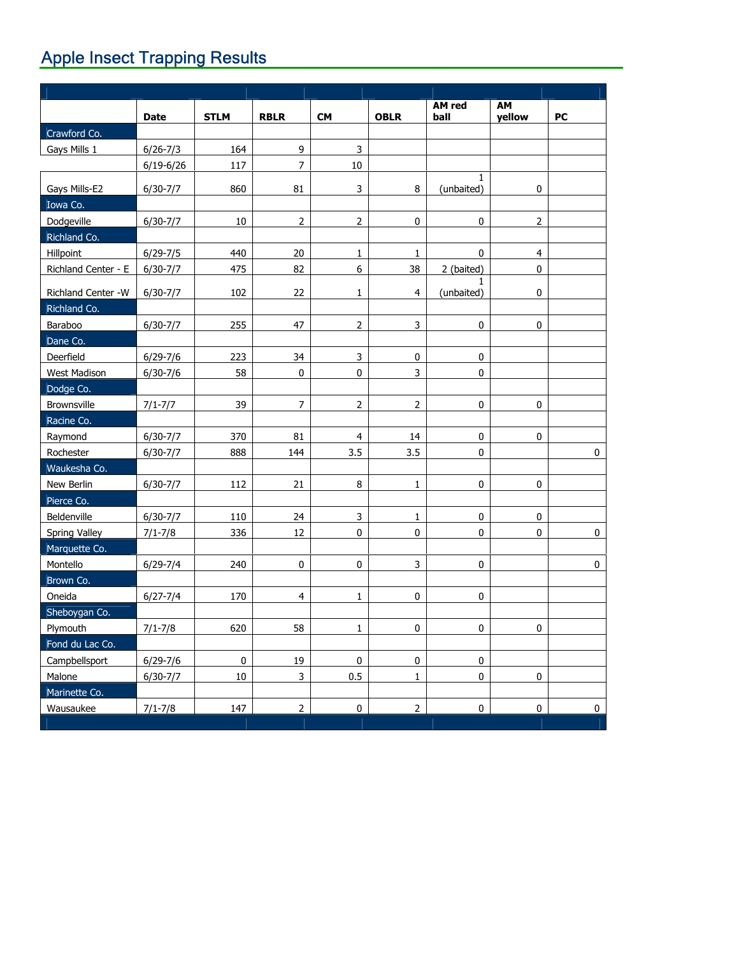# **Apple Insect Trapping Results**

|                         | <b>Date</b>   | <b>STLM</b> | <b>RBLR</b>      | <b>CM</b>        | <b>OBLR</b>    | AM red<br>ball             | AM<br>yellow   | PC          |
|-------------------------|---------------|-------------|------------------|------------------|----------------|----------------------------|----------------|-------------|
| Crawford Co.            |               |             |                  |                  |                |                            |                |             |
| Gays Mills 1            | $6/26 - 7/3$  | 164         | $\boldsymbol{9}$ | 3                |                |                            |                |             |
|                         | $6/19 - 6/26$ | 117         | $\overline{7}$   | 10               |                |                            |                |             |
| Gays Mills-E2           | $6/30-7/7$    | 860         | 81               | 3                | 8              | $\mathbf{1}$<br>(unbaited) | 0              |             |
| Iowa Co.                |               |             |                  |                  |                |                            |                |             |
| Dodgeville              | $6/30 - 7/7$  | 10          | $\overline{2}$   | $\mathsf{2}\,$   | $\pmb{0}$      | $\pmb{0}$                  | $\overline{2}$ |             |
| Richland Co.            |               |             |                  |                  |                |                            |                |             |
| Hillpoint               | $6/29 - 7/5$  | 440         | $20\,$           | 1                | 1              | 0                          | $\overline{4}$ |             |
| Richland Center - E     | $6/30-7/7$    | 475         | 82               | $\boldsymbol{6}$ | 38             | 2 (baited)                 | $\mathbf 0$    |             |
| Richland Center -W      | $6/30-7/7$    | 102         | 22               | $\mathbf 1$      | $\overline{4}$ | 1.<br>(unbaited)           | $\pmb{0}$      |             |
| Richland Co.            |               |             |                  |                  |                |                            |                |             |
| Baraboo                 | $6/30-7/7$    | 255         | 47               | $\overline{2}$   | 3              | $\pmb{0}$                  | $\mathbf 0$    |             |
| Dane Co.                |               |             |                  |                  |                |                            |                |             |
| Deerfield               | $6/29 - 7/6$  | 223         | 34               | 3                | $\pmb{0}$      | 0                          |                |             |
| West Madison            | $6/30-7/6$    | 58          | $\pmb{0}$        | 0                | 3              | $\pmb{0}$                  |                |             |
| Dodge Co.               |               |             |                  |                  |                |                            |                |             |
| Brownsville             | $7/1 - 7/7$   | 39          | $\overline{7}$   | 2                | $\overline{2}$ | $\pmb{0}$                  | 0              |             |
| Racine Co.              |               |             |                  |                  |                |                            |                |             |
| Raymond                 | $6/30-7/7$    | 370         | 81               | $\overline{4}$   | 14             | 0                          | $\bf 0$        |             |
| Rochester               | $6/30-7/7$    | 888         | 144              | 3.5              | 3.5            | 0                          |                | $\pmb{0}$   |
| Waukesha Co.            |               |             |                  |                  |                |                            |                |             |
| New Berlin              | $6/30-7/7$    | 112         | 21               | $\, 8$           | $\mathbf{1}$   | $\pmb{0}$                  | $\pmb{0}$      |             |
| Pierce Co.              |               |             |                  |                  |                |                            |                |             |
| Beldenville             | $6/30-7/7$    | 110         | 24               | 3                | 1              | 0                          | 0              |             |
| Spring Valley           | $7/1 - 7/8$   | 336         | 12               | $\pmb{0}$        | $\pmb{0}$      | 0                          | $\pmb{0}$      | $\pmb{0}$   |
| Marquette Co.           |               |             |                  |                  |                |                            |                |             |
| Montello                | $6/29 - 7/4$  | 240         | $\pmb{0}$        | 0                | 3              | $\pmb{0}$                  |                | $\pmb{0}$   |
| Brown Co.               |               |             |                  |                  |                |                            |                |             |
| Oneida                  | $6/27 - 7/4$  | 170         | $\overline{4}$   | $\mathbf 1$      | 0              | 0                          |                |             |
| Sheboygan Co.           |               |             |                  |                  |                |                            |                |             |
| Plymouth                | $7/1 - 7/8$   | 620         | 58               | $\mathbf 1$      | $\pmb{0}$      | $\pmb{0}$                  | $\pmb{0}$      |             |
| Fond du Lac Co.         |               |             |                  |                  |                |                            |                |             |
| Campbellsport           | $6/29 - 7/6$  | $\pmb{0}$   | 19               | $\pmb{0}$        | $\pmb{0}$      | $\pmb{0}$                  |                |             |
| Malone<br>Marinette Co. | $6/30 - 7/7$  | $10\,$      | $\mathsf{3}$     | 0.5              | $\mathbf 1$    | $\pmb{0}$                  | $\pmb{0}$      |             |
| Wausaukee               | $7/1 - 7/8$   | 147         | $\overline{2}$   | $\pmb{0}$        | $\overline{2}$ | $\pmb{0}$                  | $\pmb{0}$      | $\mathbf 0$ |
|                         |               |             |                  |                  |                |                            |                |             |